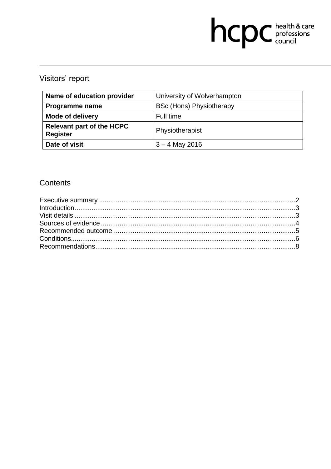# hcpc health & care

# Visitors' report

| Name of education provider                          | University of Wolverhampton     |
|-----------------------------------------------------|---------------------------------|
| <b>Programme name</b>                               | <b>BSc (Hons) Physiotherapy</b> |
| <b>Mode of delivery</b>                             | Full time                       |
| <b>Relevant part of the HCPC</b><br><b>Register</b> | Physiotherapist                 |
| Date of visit                                       | $3 - 4$ May 2016                |

# Contents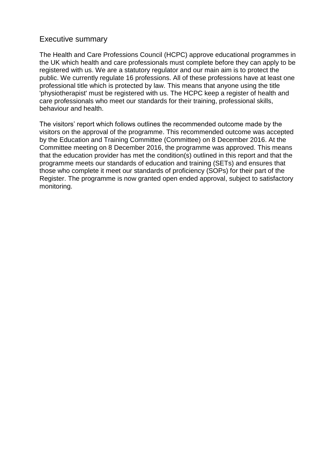#### Executive summary

The Health and Care Professions Council (HCPC) approve educational programmes in the UK which health and care professionals must complete before they can apply to be registered with us. We are a statutory regulator and our main aim is to protect the public. We currently regulate 16 professions. All of these professions have at least one professional title which is protected by law. This means that anyone using the title 'physiotherapist' must be registered with us. The HCPC keep a register of health and care professionals who meet our standards for their training, professional skills, behaviour and health.

The visitors' report which follows outlines the recommended outcome made by the visitors on the approval of the programme. This recommended outcome was accepted by the Education and Training Committee (Committee) on 8 December 2016. At the Committee meeting on 8 December 2016, the programme was approved. This means that the education provider has met the condition(s) outlined in this report and that the programme meets our standards of education and training (SETs) and ensures that those who complete it meet our standards of proficiency (SOPs) for their part of the Register. The programme is now granted open ended approval, subject to satisfactory monitoring.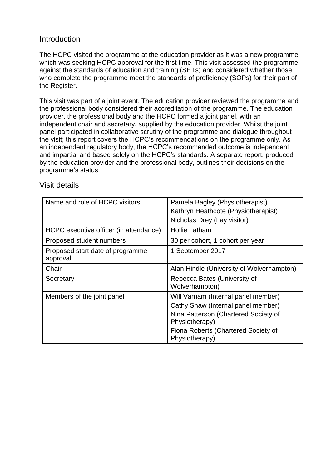## **Introduction**

The HCPC visited the programme at the education provider as it was a new programme which was seeking HCPC approval for the first time. This visit assessed the programme against the standards of education and training (SETs) and considered whether those who complete the programme meet the standards of proficiency (SOPs) for their part of the Register.

This visit was part of a joint event. The education provider reviewed the programme and the professional body considered their accreditation of the programme. The education provider, the professional body and the HCPC formed a joint panel, with an independent chair and secretary, supplied by the education provider. Whilst the joint panel participated in collaborative scrutiny of the programme and dialogue throughout the visit; this report covers the HCPC's recommendations on the programme only. As an independent regulatory body, the HCPC's recommended outcome is independent and impartial and based solely on the HCPC's standards. A separate report, produced by the education provider and the professional body, outlines their decisions on the programme's status.

| Name and role of HCPC visitors               | Pamela Bagley (Physiotherapist)<br>Kathryn Heathcote (Physiotherapist)<br>Nicholas Drey (Lay visitor)                                                                                        |
|----------------------------------------------|----------------------------------------------------------------------------------------------------------------------------------------------------------------------------------------------|
| HCPC executive officer (in attendance)       | <b>Hollie Latham</b>                                                                                                                                                                         |
| Proposed student numbers                     | 30 per cohort, 1 cohort per year                                                                                                                                                             |
| Proposed start date of programme<br>approval | 1 September 2017                                                                                                                                                                             |
| Chair                                        | Alan Hindle (University of Wolverhampton)                                                                                                                                                    |
| Secretary                                    | Rebecca Bates (University of<br>Wolverhampton)                                                                                                                                               |
| Members of the joint panel                   | Will Varnam (Internal panel member)<br>Cathy Shaw (Internal panel member)<br>Nina Patterson (Chartered Society of<br>Physiotherapy)<br>Fiona Roberts (Chartered Society of<br>Physiotherapy) |

# Visit details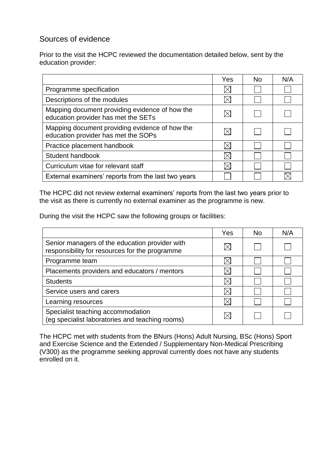# Sources of evidence

Prior to the visit the HCPC reviewed the documentation detailed below, sent by the education provider:

|                                                                                       | Yes | No | N/A |
|---------------------------------------------------------------------------------------|-----|----|-----|
| Programme specification                                                               |     |    |     |
| Descriptions of the modules                                                           |     |    |     |
| Mapping document providing evidence of how the<br>education provider has met the SETs |     |    |     |
| Mapping document providing evidence of how the<br>education provider has met the SOPs |     |    |     |
| Practice placement handbook                                                           |     |    |     |
| Student handbook                                                                      |     |    |     |
| Curriculum vitae for relevant staff                                                   |     |    |     |
| External examiners' reports from the last two years                                   |     |    |     |

The HCPC did not review external examiners' reports from the last two years prior to the visit as there is currently no external examiner as the programme is new.

During the visit the HCPC saw the following groups or facilities:

|                                                                                                  | Yes | No. | N/A |
|--------------------------------------------------------------------------------------------------|-----|-----|-----|
| Senior managers of the education provider with<br>responsibility for resources for the programme |     |     |     |
| Programme team                                                                                   |     |     |     |
| Placements providers and educators / mentors                                                     |     |     |     |
| <b>Students</b>                                                                                  |     |     |     |
| Service users and carers                                                                         |     |     |     |
| Learning resources                                                                               |     |     |     |
| Specialist teaching accommodation<br>(eg specialist laboratories and teaching rooms)             |     |     |     |

The HCPC met with students from the BNurs (Hons) Adult Nursing, BSc (Hons) Sport and Exercise Science and the Extended / Supplementary Non-Medical Prescribing (V300) as the programme seeking approval currently does not have any students enrolled on it.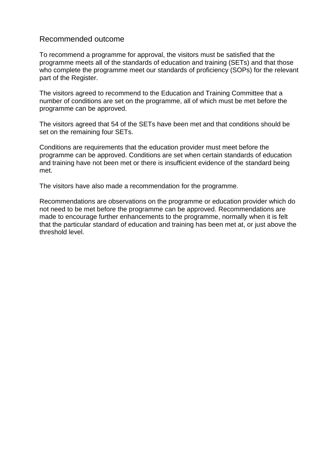#### Recommended outcome

To recommend a programme for approval, the visitors must be satisfied that the programme meets all of the standards of education and training (SETs) and that those who complete the programme meet our standards of proficiency (SOPs) for the relevant part of the Register.

The visitors agreed to recommend to the Education and Training Committee that a number of conditions are set on the programme, all of which must be met before the programme can be approved.

The visitors agreed that 54 of the SETs have been met and that conditions should be set on the remaining four SETs.

Conditions are requirements that the education provider must meet before the programme can be approved. Conditions are set when certain standards of education and training have not been met or there is insufficient evidence of the standard being met.

The visitors have also made a recommendation for the programme.

Recommendations are observations on the programme or education provider which do not need to be met before the programme can be approved. Recommendations are made to encourage further enhancements to the programme, normally when it is felt that the particular standard of education and training has been met at, or just above the threshold level.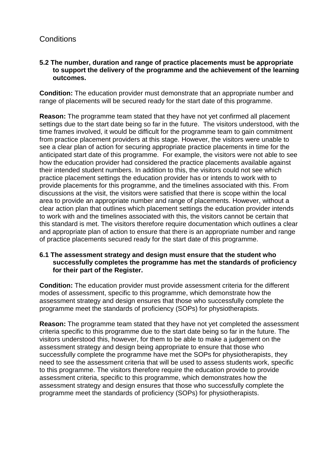# **Conditions**

#### **5.2 The number, duration and range of practice placements must be appropriate to support the delivery of the programme and the achievement of the learning outcomes.**

**Condition:** The education provider must demonstrate that an appropriate number and range of placements will be secured ready for the start date of this programme.

**Reason:** The programme team stated that they have not yet confirmed all placement settings due to the start date being so far in the future. The visitors understood, with the time frames involved, it would be difficult for the programme team to gain commitment from practice placement providers at this stage. However, the visitors were unable to see a clear plan of action for securing appropriate practice placements in time for the anticipated start date of this programme. For example, the visitors were not able to see how the education provider had considered the practice placements available against their intended student numbers. In addition to this, the visitors could not see which practice placement settings the education provider has or intends to work with to provide placements for this programme, and the timelines associated with this. From discussions at the visit, the visitors were satisfied that there is scope within the local area to provide an appropriate number and range of placements. However, without a clear action plan that outlines which placement settings the education provider intends to work with and the timelines associated with this, the visitors cannot be certain that this standard is met. The visitors therefore require documentation which outlines a clear and appropriate plan of action to ensure that there is an appropriate number and range of practice placements secured ready for the start date of this programme.

#### **6.1 The assessment strategy and design must ensure that the student who successfully completes the programme has met the standards of proficiency for their part of the Register.**

**Condition:** The education provider must provide assessment criteria for the different modes of assessment, specific to this programme, which demonstrate how the assessment strategy and design ensures that those who successfully complete the programme meet the standards of proficiency (SOPs) for physiotherapists.

**Reason:** The programme team stated that they have not yet completed the assessment criteria specific to this programme due to the start date being so far in the future. The visitors understood this, however, for them to be able to make a judgement on the assessment strategy and design being appropriate to ensure that those who successfully complete the programme have met the SOPs for physiotherapists, they need to see the assessment criteria that will be used to assess students work, specific to this programme. The visitors therefore require the education provide to provide assessment criteria, specific to this programme, which demonstrates how the assessment strategy and design ensures that those who successfully complete the programme meet the standards of proficiency (SOPs) for physiotherapists.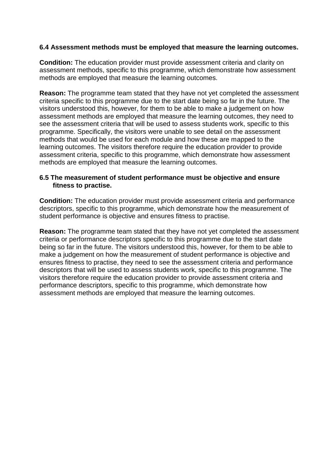#### **6.4 Assessment methods must be employed that measure the learning outcomes.**

**Condition:** The education provider must provide assessment criteria and clarity on assessment methods, specific to this programme, which demonstrate how assessment methods are employed that measure the learning outcomes.

**Reason:** The programme team stated that they have not yet completed the assessment criteria specific to this programme due to the start date being so far in the future. The visitors understood this, however, for them to be able to make a judgement on how assessment methods are employed that measure the learning outcomes, they need to see the assessment criteria that will be used to assess students work, specific to this programme. Specifically, the visitors were unable to see detail on the assessment methods that would be used for each module and how these are mapped to the learning outcomes. The visitors therefore require the education provider to provide assessment criteria, specific to this programme, which demonstrate how assessment methods are employed that measure the learning outcomes.

#### **6.5 The measurement of student performance must be objective and ensure fitness to practise.**

**Condition:** The education provider must provide assessment criteria and performance descriptors, specific to this programme, which demonstrate how the measurement of student performance is objective and ensures fitness to practise.

**Reason:** The programme team stated that they have not yet completed the assessment criteria or performance descriptors specific to this programme due to the start date being so far in the future. The visitors understood this, however, for them to be able to make a judgement on how the measurement of student performance is objective and ensures fitness to practise, they need to see the assessment criteria and performance descriptors that will be used to assess students work, specific to this programme. The visitors therefore require the education provider to provide assessment criteria and performance descriptors, specific to this programme, which demonstrate how assessment methods are employed that measure the learning outcomes.